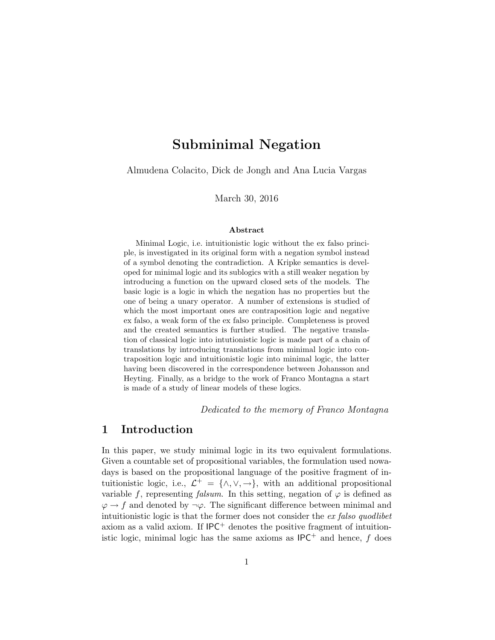# Subminimal Negation

Almudena Colacito, Dick de Jongh and Ana Lucia Vargas

March 30, 2016

#### Abstract

Minimal Logic, i.e. intuitionistic logic without the ex falso principle, is investigated in its original form with a negation symbol instead of a symbol denoting the contradiction. A Kripke semantics is developed for minimal logic and its sublogics with a still weaker negation by introducing a function on the upward closed sets of the models. The basic logic is a logic in which the negation has no properties but the one of being a unary operator. A number of extensions is studied of which the most important ones are contraposition logic and negative ex falso, a weak form of the ex falso principle. Completeness is proved and the created semantics is further studied. The negative translation of classical logic into intutionistic logic is made part of a chain of translations by introducing translations from minimal logic into contraposition logic and intuitionistic logic into minimal logic, the latter having been discovered in the correspondence between Johansson and Heyting. Finally, as a bridge to the work of Franco Montagna a start is made of a study of linear models of these logics.

Dedicated to the memory of Franco Montagna

## 1 Introduction

In this paper, we study minimal logic in its two equivalent formulations. Given a countable set of propositional variables, the formulation used nowadays is based on the propositional language of the positive fragment of intuitionistic logic, i.e.,  $\mathcal{L}^+ = {\wedge, \vee, \rightarrow}$ , with an additional propositional variable f, representing falsum. In this setting, negation of  $\varphi$  is defined as  $\varphi \to f$  and denoted by  $\neg \varphi$ . The significant difference between minimal and intuitionistic logic is that the former does not consider the ex falso quodlibet axiom as a valid axiom. If  $IPC^+$  denotes the positive fragment of intuitionistic logic, minimal logic has the same axioms as  $IPC^+$  and hence, f does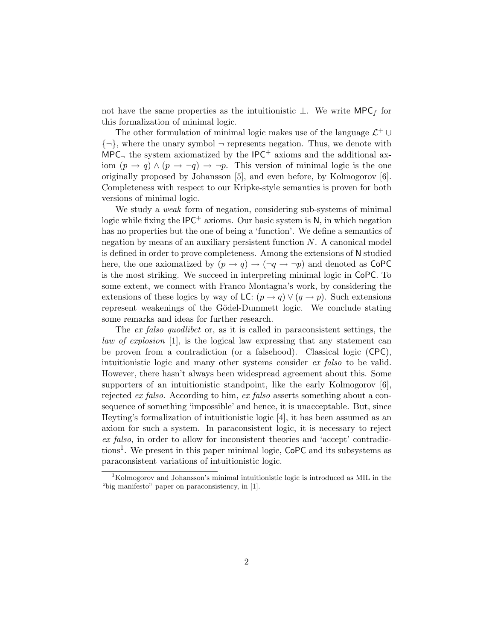not have the same properties as the intuitionistic  $\perp$ . We write MPC<sub>f</sub> for this formalization of minimal logic.

The other formulation of minimal logic makes use of the language  $\mathcal{L}^+ \cup$  $\{\neg\}$ , where the unary symbol  $\neg$  represents negation. Thus, we denote with  $MPC<sub>1</sub>$  the system axiomatized by the  $IPC<sup>+</sup>$  axioms and the additional axiom  $(p \to q) \wedge (p \to \neg q) \to \neg p$ . This version of minimal logic is the one originally proposed by Johansson [5], and even before, by Kolmogorov [6]. Completeness with respect to our Kripke-style semantics is proven for both versions of minimal logic.

We study a weak form of negation, considering sub-systems of minimal logic while fixing the  $IPC^+$  axioms. Our basic system is  $N$ , in which negation has no properties but the one of being a 'function'. We define a semantics of negation by means of an auxiliary persistent function  $N$ . A canonical model is defined in order to prove completeness. Among the extensions of N studied here, the one axiomatized by  $(p \to q) \to (\neg q \to \neg p)$  and denoted as CoPC is the most striking. We succeed in interpreting minimal logic in CoPC. To some extent, we connect with Franco Montagna's work, by considering the extensions of these logics by way of LC:  $(p \rightarrow q) \vee (q \rightarrow p)$ . Such extensions represent weakenings of the Gödel-Dummett logic. We conclude stating some remarks and ideas for further research.

The ex falso quodlibet or, as it is called in paraconsistent settings, the law of explosion [1], is the logical law expressing that any statement can be proven from a contradiction (or a falsehood). Classical logic (CPC), intuitionistic logic and many other systems consider ex falso to be valid. However, there hasn't always been widespread agreement about this. Some supporters of an intuitionistic standpoint, like the early Kolmogorov [6], rejected ex falso. According to him, ex falso asserts something about a consequence of something 'impossible' and hence, it is unacceptable. But, since Heyting's formalization of intuitionistic logic [4], it has been assumed as an axiom for such a system. In paraconsistent logic, it is necessary to reject ex falso, in order to allow for inconsistent theories and 'accept' contradictions<sup>1</sup>. We present in this paper minimal logic, CoPC and its subsystems as paraconsistent variations of intuitionistic logic.

<sup>1</sup>Kolmogorov and Johansson's minimal intuitionistic logic is introduced as MIL in the "big manifesto" paper on paraconsistency, in [1].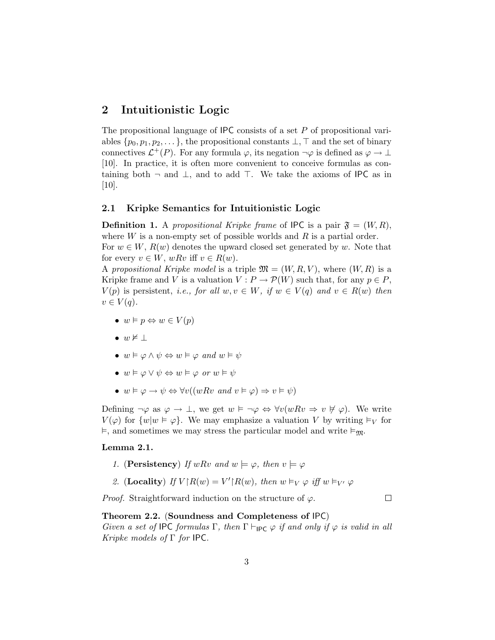# 2 Intuitionistic Logic

The propositional language of  $IPC$  consists of a set  $P$  of propositional variables  $\{p_0, p_1, p_2, \dots\}$ , the propositional constants  $\bot$ ,  $\top$  and the set of binary connectives  $\mathcal{L}^+(P)$ . For any formula  $\varphi$ , its negation  $\neg \varphi$  is defined as  $\varphi \to \bot$ [10]. In practice, it is often more convenient to conceive formulas as containing both  $\neg$  and  $\bot$ , and to add  $\top$ . We take the axioms of IPC as in  $[10]$ .

### 2.1 Kripke Semantics for Intuitionistic Logic

**Definition 1.** A propositional Kripke frame of IPC is a pair  $\mathfrak{F} = (W, R)$ , where  $W$  is a non-empty set of possible worlds and  $R$  is a partial order. For  $w \in W$ ,  $R(w)$  denotes the upward closed set generated by w. Note that for every  $v \in W$ ,  $wRv$  iff  $v \in R(w)$ .

A propositional Kripke model is a triple  $\mathfrak{M} = (W, R, V)$ , where  $(W, R)$  is a Kripke frame and V is a valuation  $V : P \to P(W)$  such that, for any  $p \in P$ ,  $V(p)$  is persistent, *i.e.*, for all  $w, v \in W$ , if  $w \in V(q)$  and  $v \in R(w)$  then  $v \in V(q)$ .

- $w \models p \Leftrightarrow w \in V(p)$
- $w \not\models \bot$
- $w \vDash \varphi \land \psi \Leftrightarrow w \vDash \varphi \text{ and } w \vDash \psi$
- $w \vDash \varphi \lor \psi \Leftrightarrow w \vDash \varphi \text{ or } w \vDash \psi$
- $w \vDash \varphi \rightarrow \psi \Leftrightarrow \forall v((wRv \text{ and } v \vDash \varphi) \Rightarrow v \vDash \psi)$

Defining  $\neg \varphi$  as  $\varphi \to \bot$ , we get  $w \models \neg \varphi \Leftrightarrow \forall v(wRv \Rightarrow v \not\vdash \varphi)$ . We write  $V(\varphi)$  for  $\{w|w \in \varphi\}$ . We may emphasize a valuation V by writing  $\models_V$  for  $\vDash$ , and sometimes we may stress the particular model and write  $\vDash_{\mathfrak{M}}$ .

#### Lemma 2.1.

- 1. (Persistency) If wRv and  $w \models \varphi$ , then  $v \models \varphi$
- 2. (Locality) If  $V \upharpoonright R(w) = V' \upharpoonright R(w)$ , then  $w \vDash_V \varphi$  iff  $w \vDash_{V'} \varphi$

*Proof.* Straightforward induction on the structure of  $\varphi$ .

 $\Box$ 

#### Theorem 2.2. (Soundness and Completeness of IPC)

Given a set of IPC formulas Γ, then  $\Gamma \vdash_{\mathsf{IPC}} \varphi$  if and only if  $\varphi$  is valid in all Kripke models of Γ for IPC.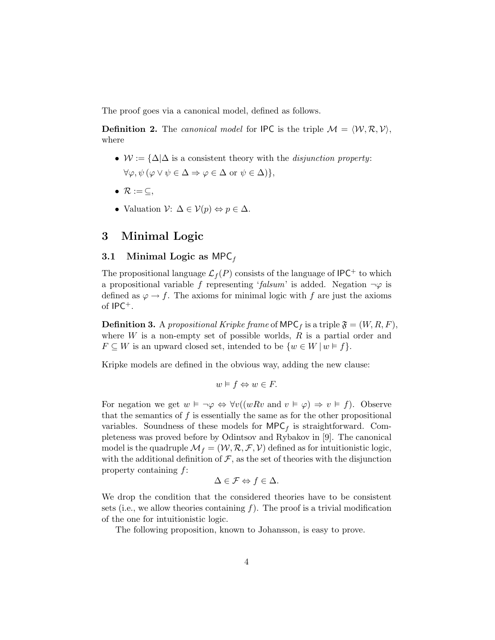The proof goes via a canonical model, defined as follows.

**Definition 2.** The canonical model for IPC is the triple  $M = \langle W, \mathcal{R}, V \rangle$ , where

- $W := {\Delta} \Delta$  is a consistent theory with the *disjunction property*:  $\forall \varphi, \psi \, (\varphi \vee \psi \in \Delta \Rightarrow \varphi \in \Delta \text{ or } \psi \in \Delta) \},$
- $\mathcal{R} := \subseteq$ ,
- Valuation  $\mathcal{V}: \Delta \in \mathcal{V}(p) \Leftrightarrow p \in \Delta$ .

# 3 Minimal Logic

### 3.1 Minimal Logic as MPC $_f$

The propositional language  $\mathcal{L}_f(P)$  consists of the language of IPC<sup>+</sup> to which a propositional variable f representing 'falsum' is added. Negation  $\neg \varphi$  is defined as  $\varphi \to f$ . The axioms for minimal logic with f are just the axioms of IPC+.

**Definition 3.** A propositional Kripke frame of MPC<sub>f</sub> is a triple  $\mathfrak{F} = (W, R, F)$ , where  $W$  is a non-empty set of possible worlds,  $R$  is a partial order and  $F \subseteq W$  is an upward closed set, intended to be  $\{w \in W \mid w \models f\}.$ 

Kripke models are defined in the obvious way, adding the new clause:

$$
w \models f \Leftrightarrow w \in F.
$$

For negation we get  $w \models \neg \varphi \Leftrightarrow \forall v((wRv \text{ and } v \models \varphi) \Rightarrow v \models f)$ . Observe that the semantics of  $f$  is essentially the same as for the other propositional variables. Soundness of these models for  $\mathsf{MPC}_f$  is straightforward. Completeness was proved before by Odintsov and Rybakov in [9]. The canonical model is the quadruple  $\mathcal{M}_f = (\mathcal{W}, \mathcal{R}, \mathcal{F}, \mathcal{V})$  defined as for intuitionistic logic, with the additional definition of  $\mathcal F$ , as the set of theories with the disjunction property containing f:

$$
\Delta \in \mathcal{F} \Leftrightarrow f \in \Delta.
$$

We drop the condition that the considered theories have to be consistent sets (i.e., we allow theories containing  $f$ ). The proof is a trivial modification of the one for intuitionistic logic.

The following proposition, known to Johansson, is easy to prove.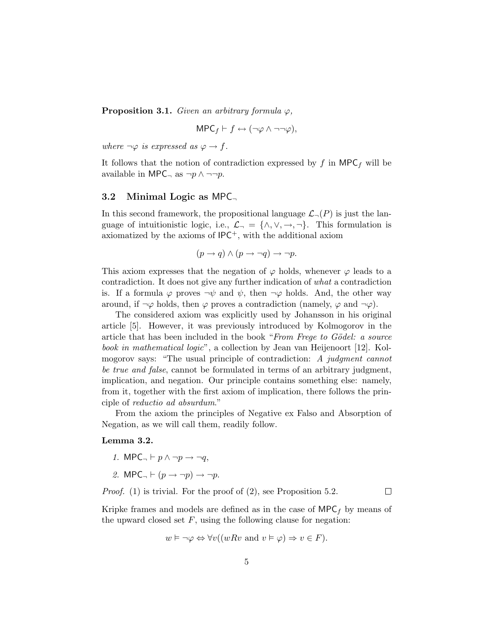**Proposition 3.1.** Given an arbitrary formula  $\varphi$ ,

$$
\mathsf{MPC}_f \vdash f \leftrightarrow (\neg \varphi \land \neg \neg \varphi),
$$

where  $\neg \varphi$  is expressed as  $\varphi \to f$ .

It follows that the notion of contradiction expressed by  $f$  in MPC<sub>f</sub> will be available in MPC<sub> $\neg$ </sub> as  $\neg p \wedge \neg \neg p$ .

### 3.2 Minimal Logic as MPC

In this second framework, the propositional language  $\mathcal{L}_{\neg}(P)$  is just the language of intuitionistic logic, i.e.,  $\mathcal{L}_{\neg} = {\wedge, \vee, \rightarrow, \neg}$ . This formulation is axiomatized by the axioms of  $IPC^+$ , with the additional axiom

$$
(p \to q) \land (p \to \neg q) \to \neg p.
$$

This axiom expresses that the negation of  $\varphi$  holds, whenever  $\varphi$  leads to a contradiction. It does not give any further indication of what a contradiction is. If a formula  $\varphi$  proves  $\neg \psi$  and  $\psi$ , then  $\neg \varphi$  holds. And, the other way around, if  $\neg \varphi$  holds, then  $\varphi$  proves a contradiction (namely,  $\varphi$  and  $\neg \varphi$ ).

The considered axiom was explicitly used by Johansson in his original article [5]. However, it was previously introduced by Kolmogorov in the article that has been included in the book "From Freque to Gödel: a source book in mathematical logic", a collection by Jean van Heijenoort [12]. Kolmogorov says: "The usual principle of contradiction: A judgment cannot be true and false, cannot be formulated in terms of an arbitrary judgment, implication, and negation. Our principle contains something else: namely, from it, together with the first axiom of implication, there follows the principle of reductio ad absurdum."

From the axiom the principles of Negative ex Falso and Absorption of Negation, as we will call them, readily follow.

#### Lemma 3.2.

- 1. MPC $\neg$   $\vdash p \land \neg p \rightarrow \neg q$ ,
- 2. MPC<sub> $\neg$ </sub>  $\vdash$   $(p \rightarrow \neg p) \rightarrow \neg p$ .

Proof. (1) is trivial. For the proof of (2), see Proposition 5.2.

 $\Box$ 

Kripke frames and models are defined as in the case of  $\mathsf{MPC}_f$  by means of the upward closed set  $F$ , using the following clause for negation:

$$
w \vDash \neg \varphi \Leftrightarrow \forall v((wRv \text{ and } v \vDash \varphi) \Rightarrow v \in F).
$$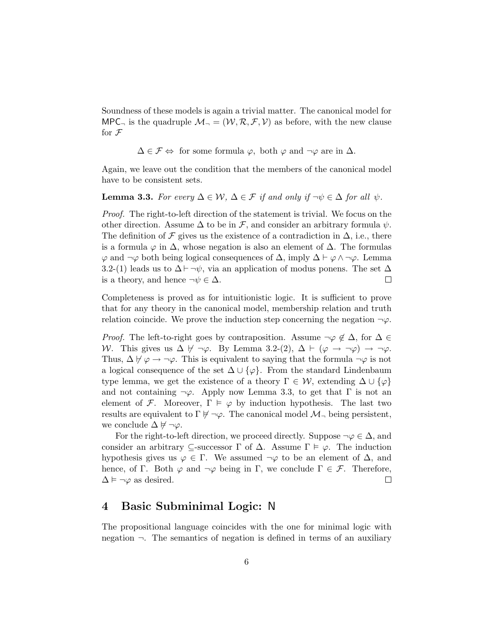Soundness of these models is again a trivial matter. The canonical model for MPC, is the quadruple  $\mathcal{M}_{\neg} = (\mathcal{W}, \mathcal{R}, \mathcal{F}, \mathcal{V})$  as before, with the new clause for  $\mathcal F$ 

$$
\Delta \in \mathcal{F} \Leftrightarrow
$$
 for some formula  $\varphi$ , both  $\varphi$  and  $\neg \varphi$  are in  $\Delta$ .

Again, we leave out the condition that the members of the canonical model have to be consistent sets.

### **Lemma 3.3.** For every  $\Delta \in \mathcal{W}$ ,  $\Delta \in \mathcal{F}$  if and only if  $\neg \psi \in \Delta$  for all  $\psi$ .

Proof. The right-to-left direction of the statement is trivial. We focus on the other direction. Assume  $\Delta$  to be in  $\mathcal{F}$ , and consider an arbitrary formula  $\psi$ . The definition of  $\mathcal F$  gives us the existence of a contradiction in  $\Delta$ , i.e., there is a formula  $\varphi$  in  $\Delta$ , whose negation is also an element of  $\Delta$ . The formulas  $\varphi$  and  $\neg \varphi$  both being logical consequences of  $\Delta$ , imply  $\Delta \vdash \varphi \wedge \neg \varphi$ . Lemma 3.2-(1) leads us to  $\Delta \vdash \neg \psi$ , via an application of modus ponens. The set  $\Delta$ is a theory, and hence  $\neg \psi \in \Delta$ .  $\Box$ 

Completeness is proved as for intuitionistic logic. It is sufficient to prove that for any theory in the canonical model, membership relation and truth relation coincide. We prove the induction step concerning the negation  $\neg \varphi$ .

*Proof.* The left-to-right goes by contraposition. Assume  $\neg \varphi \notin \Delta$ , for  $\Delta \in$ W. This gives us  $\Delta \not\vdash \neg \varphi$ . By Lemma 3.2-(2),  $\Delta \vdash (\varphi \rightarrow \neg \varphi) \rightarrow \neg \varphi$ . Thus,  $\Delta \not\vdash \varphi \rightarrow \neg \varphi$ . This is equivalent to saying that the formula  $\neg \varphi$  is not a logical consequence of the set  $\Delta \cup {\varphi}$ . From the standard Lindenbaum type lemma, we get the existence of a theory  $\Gamma \in \mathcal{W}$ , extending  $\Delta \cup {\varphi}$ and not containing  $\neg \varphi$ . Apply now Lemma 3.3, to get that  $\Gamma$  is not an element of F. Moreover,  $\Gamma \models \varphi$  by induction hypothesis. The last two results are equivalent to  $\Gamma \not\models \neg \varphi$ . The canonical model  $\mathcal{M}_\neg$  being persistent, we conclude  $\Delta \not\models \neg \varphi$ .

For the right-to-left direction, we proceed directly. Suppose  $\neg \varphi \in \Delta$ , and consider an arbitrary  $\subseteq$ -successor  $\Gamma$  of  $\Delta$ . Assume  $\Gamma \models \varphi$ . The induction hypothesis gives us  $\varphi \in \Gamma$ . We assumed  $\neg \varphi$  to be an element of  $\Delta$ , and hence, of Γ. Both  $\varphi$  and  $\neg \varphi$  being in Γ, we conclude  $\Gamma \in \mathcal{F}$ . Therefore,  $\Delta \models \neg \varphi$  as desired.  $\Box$ 

# 4 Basic Subminimal Logic: N

The propositional language coincides with the one for minimal logic with negation  $\neg$ . The semantics of negation is defined in terms of an auxiliary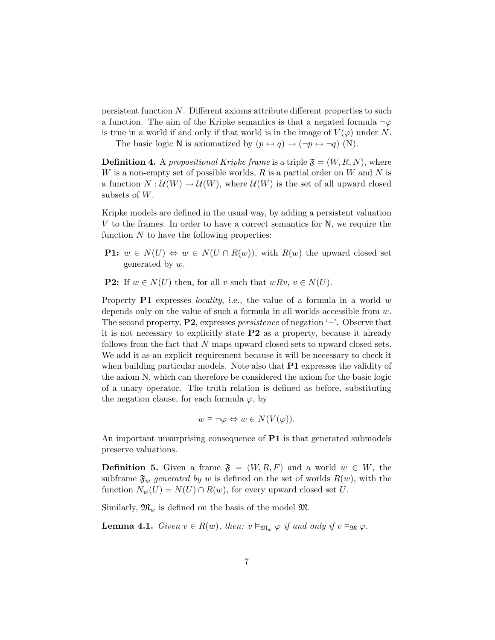persistent function N. Different axioms attribute different properties to such a function. The aim of the Kripke semantics is that a negated formula  $\neg \varphi$ is true in a world if and only if that world is in the image of  $V(\varphi)$  under N.

The basic logic N is axiomatized by  $(p \leftrightarrow q) \rightarrow (\neg p \leftrightarrow \neg q)$  (N).

**Definition 4.** A propositional Kripke frame is a triple  $\mathfrak{F} = (W, R, N)$ , where W is a non-empty set of possible worlds,  $R$  is a partial order on  $W$  and  $N$  is a function  $N: \mathcal{U}(W) \to \mathcal{U}(W)$ , where  $\mathcal{U}(W)$  is the set of all upward closed subsets of W.

Kripke models are defined in the usual way, by adding a persistent valuation V to the frames. In order to have a correct semantics for N, we require the function  $N$  to have the following properties:

- **P1:**  $w \in N(U) \Leftrightarrow w \in N(U \cap R(w))$ , with  $R(w)$  the upward closed set generated by w.
- **P2:** If  $w \in N(U)$  then, for all v such that  $wRv, v \in N(U)$ .

Property  $P1$  expresses *locality*, i.e., the value of a formula in a world w depends only on the value of such a formula in all worlds accessible from w. The second property,  $P2$ , expresses *persistence* of negation  $\rightarrow$ . Observe that it is not necessary to explicitly state P2 as a property, because it already follows from the fact that N maps upward closed sets to upward closed sets. We add it as an explicit requirement because it will be necessary to check it when building particular models. Note also that  $P1$  expresses the validity of the axiom N, which can therefore be considered the axiom for the basic logic of a unary operator. The truth relation is defined as before, substituting the negation clause, for each formula  $\varphi$ , by

$$
w \vDash \neg \varphi \Leftrightarrow w \in N(V(\varphi)).
$$

An important unsurprising consequence of **P1** is that generated submodels preserve valuations.

**Definition 5.** Given a frame  $\mathfrak{F} = (W, R, F)$  and a world  $w \in W$ , the subframe  $\mathfrak{F}_w$  generated by w is defined on the set of worlds  $R(w)$ , with the function  $N_w(U) = N(U) \cap R(w)$ , for every upward closed set U.

Similarly,  $\mathfrak{M}_w$  is defined on the basis of the model  $\mathfrak{M}$ .

**Lemma 4.1.** Given  $v \in R(w)$ , then:  $v \vDash_{\mathfrak{M}_w} \varphi$  if and only if  $v \vDash_{\mathfrak{M}} \varphi$ .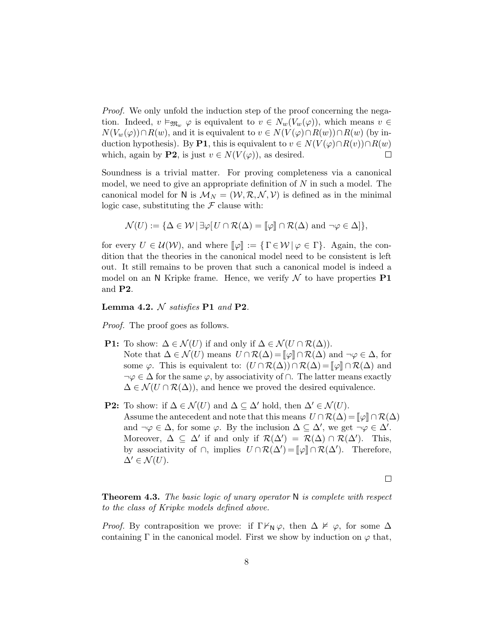*Proof.* We only unfold the induction step of the proof concerning the negation. Indeed,  $v \vDash_{\mathfrak{M}_w} \varphi$  is equivalent to  $v \in N_w(V_w(\varphi))$ , which means  $v \in$  $N(V_w(\varphi)) \cap R(w)$ , and it is equivalent to  $v \in N(V(\varphi) \cap R(w)) \cap R(w)$  (by induction hypothesis). By P1, this is equivalent to  $v \in N(V(\varphi) \cap R(v)) \cap R(w)$ which, again by **P2**, is just  $v \in N(V(\varphi))$ , as desired.  $\Box$ 

Soundness is a trivial matter. For proving completeness via a canonical model, we need to give an appropriate definition of  $N$  in such a model. The canonical model for N is  $\mathcal{M}_N = (\mathcal{W}, \mathcal{R}, \mathcal{N}, \mathcal{V})$  is defined as in the minimal logic case, substituting the  $\mathcal F$  clause with:

$$
\mathcal{N}(U) := \{ \Delta \in \mathcal{W} \mid \exists \varphi \big[ U \cap \mathcal{R}(\Delta) = [\![\varphi]\!] \cap \mathcal{R}(\Delta) \text{ and } \neg \varphi \in \Delta \big] \},
$$

for every  $U \in \mathcal{U}(\mathcal{W})$ , and where  $\llbracket \varphi \rrbracket := \{ \Gamma \in \mathcal{W} \mid \varphi \in \Gamma \}$ . Again, the condition that the theories in the canonical model need to be consistent is left out. It still remains to be proven that such a canonical model is indeed a model on an N Kripke frame. Hence, we verify  $\mathcal N$  to have properties **P1** and P2.

Lemma 4.2.  $N$  satisfies P1 and P2.

Proof. The proof goes as follows.

- **P1:** To show:  $\Delta \in \mathcal{N}(U)$  if and only if  $\Delta \in \mathcal{N}(U \cap \mathcal{R}(\Delta)).$ Note that  $\Delta \in \mathcal{N}(U)$  means  $U \cap \mathcal{R}(\Delta) = \llbracket \varphi \rrbracket \cap \mathcal{R}(\Delta)$  and  $\neg \varphi \in \Delta$ , for some  $\varphi$ . This is equivalent to:  $(U \cap \mathcal{R}(\Delta)) \cap \mathcal{R}(\Delta) = [\varphi] \cap \mathcal{R}(\Delta)$  and  $\neg \varphi \in \Delta$  for the same  $\varphi$ , by associativity of  $\cap$ . The latter means exactly  $\Delta \in \mathcal{N}(U \cap \mathcal{R}(\Delta))$ , and hence we proved the desired equivalence.
- **P2:** To show: if  $\Delta \in \mathcal{N}(U)$  and  $\Delta \subseteq \Delta'$  hold, then  $\Delta' \in \mathcal{N}(U)$ . Assume the antecedent and note that this means  $U \cap \mathcal{R}(\Delta) = \llbracket \varphi \rrbracket \cap \mathcal{R}(\Delta)$ and  $\neg \varphi \in \Delta$ , for some  $\varphi$ . By the inclusion  $\Delta \subseteq \Delta'$ , we get  $\neg \varphi \in \Delta'$ . Moreover,  $\Delta \subseteq \Delta'$  if and only if  $\mathcal{R}(\Delta') = \mathcal{R}(\Delta) \cap \mathcal{R}(\Delta')$ . This, by associativity of  $\cap$ , implies  $U \cap \mathcal{R}(\Delta') = [\![\varphi]\!] \cap \mathcal{R}(\Delta')$ . Therefore,  $\Delta' \in \mathcal{N}(U)$ .

 $\Box$ 

**Theorem 4.3.** The basic logic of unary operator  $N$  is complete with respect to the class of Kripke models defined above.

*Proof.* By contraposition we prove: if  $\Gamma \nvdash_N \varphi$ , then  $\Delta \nvDash \varphi$ , for some  $\Delta$ containing Γ in the canonical model. First we show by induction on  $\varphi$  that,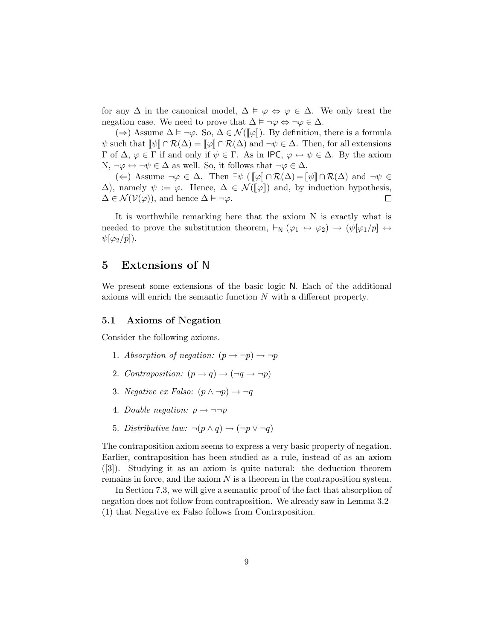for any  $\Delta$  in the canonical model,  $\Delta \models \varphi \Leftrightarrow \varphi \in \Delta$ . We only treat the negation case. We need to prove that  $\Delta \models \neg \varphi \Leftrightarrow \neg \varphi \in \Delta$ .

(⇒) Assume  $\Delta \models \neg \varphi$ . So,  $\Delta \in \mathcal{N}(\llbracket \varphi \rrbracket)$ . By definition, there is a formula  $\psi$  such that  $\llbracket \psi \rrbracket \cap \mathcal{R}(\Delta) = \llbracket \varphi \rrbracket \cap \mathcal{R}(\Delta)$  and  $\neg \psi \in \Delta$ . Then, for all extensions Γ of Δ,  $\varphi$  ∈ Γ if and only if  $\psi$  ∈ Γ. As in IPC,  $\varphi \leftrightarrow \psi$  ∈ Δ. By the axiom N,  $\neg \varphi \leftrightarrow \neg \psi \in \Delta$  as well. So, it follows that  $\neg \varphi \in \Delta$ .

(←) Assume  $\neg \varphi \in \Delta$ . Then  $\exists \psi \left( [\varphi] \cap \mathcal{R}(\Delta) = [\psi] \cap \mathcal{R}(\Delta) \right)$  and  $\neg \psi \in \Delta$ .  $\Delta$ ), namely  $\psi := \varphi$ . Hence,  $\Delta \in \mathcal{N}([\![\varphi]\!])$  and, by induction hypothesis,  $\Delta \in \mathcal{N}(\mathcal{V}(\varphi))$ , and hence  $\Delta \models \neg \varphi$ .  $\Delta \in \mathcal{N}(\mathcal{V}(\varphi))$ , and hence  $\Delta \models \neg \varphi$ .

It is worthwhile remarking here that the axiom N is exactly what is needed to prove the substitution theorem,  $\vdash_N (\varphi_1 \leftrightarrow \varphi_2) \rightarrow (\psi[\varphi_1/p] \leftrightarrow \varphi_2)$  $\psi[\varphi_2/p]).$ 

# 5 Extensions of N

We present some extensions of the basic logic N. Each of the additional axioms will enrich the semantic function N with a different property.

#### 5.1 Axioms of Negation

Consider the following axioms.

- 1. Absorption of negation:  $(p \rightarrow \neg p) \rightarrow \neg p$
- 2. Contraposition:  $(p \rightarrow q) \rightarrow (\neg q \rightarrow \neg p)$
- 3. Negative ex Falso:  $(p \land \neg p) \rightarrow \neg q$
- 4. Double negation:  $p \rightarrow \neg \neg p$
- 5. Distributive law:  $\neg(p \land q) \rightarrow (\neg p \lor \neg q)$

The contraposition axiom seems to express a very basic property of negation. Earlier, contraposition has been studied as a rule, instead of as an axiom ([3]). Studying it as an axiom is quite natural: the deduction theorem remains in force, and the axiom  $N$  is a theorem in the contraposition system.

In Section 7.3, we will give a semantic proof of the fact that absorption of negation does not follow from contraposition. We already saw in Lemma 3.2- (1) that Negative ex Falso follows from Contraposition.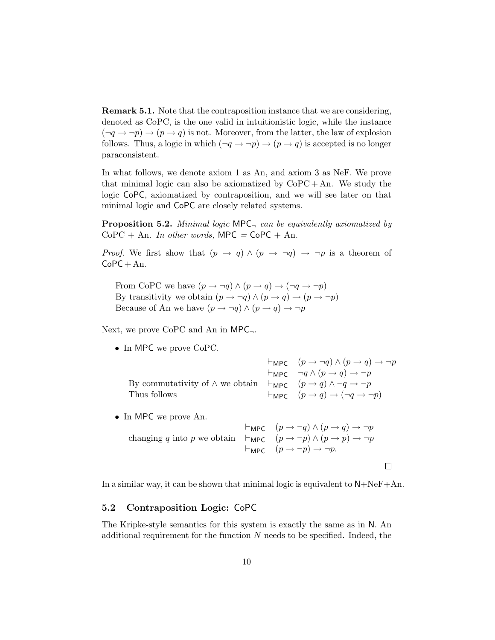Remark 5.1. Note that the contraposition instance that we are considering, denoted as CoPC, is the one valid in intuitionistic logic, while the instance  $(\neg q \rightarrow \neg p) \rightarrow (p \rightarrow q)$  is not. Moreover, from the latter, the law of explosion follows. Thus, a logic in which  $(\neg q \rightarrow \neg p) \rightarrow (p \rightarrow q)$  is accepted is no longer paraconsistent.

In what follows, we denote axiom 1 as An, and axiom 3 as NeF. We prove that minimal logic can also be axiomatized by  $CoPC + An$ . We study the logic CoPC, axiomatized by contraposition, and we will see later on that minimal logic and CoPC are closely related systems.

**Proposition 5.2.** Minimal logic MPC $\Box$  can be equivalently axiomatized by  $CoPC + An$ . In other words, MPC = CoPC + An.

*Proof.* We first show that  $(p \to q) \land (p \to \neg q) \to \neg p$  is a theorem of  $CoPC + An$ .

From CoPC we have  $(p \to \neg q) \land (p \to q) \to (\neg q \to \neg p)$ By transitivity we obtain  $(p \to \neg q) \land (p \to q) \to (p \to \neg p)$ Because of An we have  $(p\to \neg q)\wedge (p\to q)\to \neg p$ 

Next, we prove  $CoPC$  and An in  $MPC_{\neg}$ .

• In MPC we prove CoPC.

|                                                                                                                   | $\vdash_{\mathsf{MPC}} (p \rightarrow \neg q) \land (p \rightarrow q) \rightarrow \neg p$ |
|-------------------------------------------------------------------------------------------------------------------|-------------------------------------------------------------------------------------------|
|                                                                                                                   | $\vdash_{\mathsf{MPC}} \neg q \wedge (p \rightarrow q) \rightarrow \neg p$                |
| By commutativity of $\wedge$ we obtain $\vdash_{\mathsf{MPC}} (p \rightarrow q) \wedge \neg q \rightarrow \neg p$ |                                                                                           |
| Thus follows                                                                                                      | $\vdash_{\mathsf{MPC}} (p \rightarrow q) \rightarrow (\neg q \rightarrow \neg p)$         |

• In MPC we prove An.

$$
\vdash_{\mathsf{MPC}} (p \to \neg q) \land (p \to q) \to \neg p
$$
\n
$$
\vdash_{\mathsf{MPC}} (p \to \neg p) \land (p \to p) \to \neg p
$$
\n
$$
\vdash_{\mathsf{MPC}} (p \to \neg p) \land (p \to p) \to \neg p
$$
\n
$$
\vdash_{\mathsf{MPC}} (p \to \neg p) \to \neg p.
$$

 $\hfill \square$ 

In a similar way, it can be shown that minimal logic is equivalent to  $N + N eF + An$ .

#### 5.2 Contraposition Logic: CoPC

The Kripke-style semantics for this system is exactly the same as in N. An additional requirement for the function  $N$  needs to be specified. Indeed, the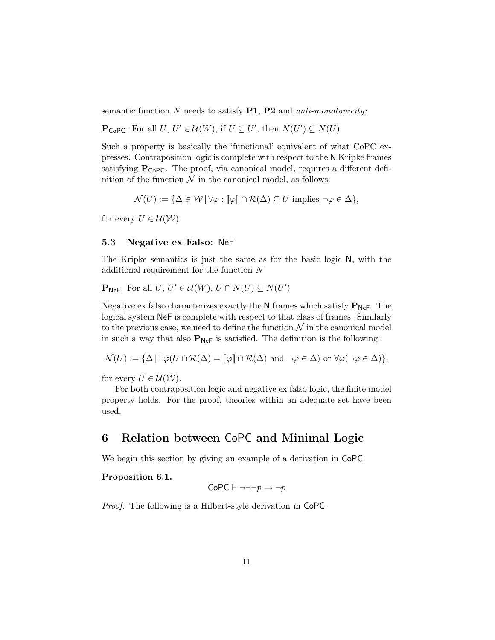semantic function  $N$  needs to satisfy  $P1$ ,  $P2$  and *anti-monotonicity:* 

 $\mathbf{P}_{\mathsf{CoPC}}$ : For all  $U, U' \in \mathcal{U}(W)$ , if  $U \subseteq U'$ , then  $N(U') \subseteq N(U)$ 

Such a property is basically the 'functional' equivalent of what CoPC expresses. Contraposition logic is complete with respect to the N Kripke frames satisfying  $P_{\text{CoPC}}$ . The proof, via canonical model, requires a different definition of the function  $\mathcal N$  in the canonical model, as follows:

$$
\mathcal{N}(U) := \{ \Delta \in \mathcal{W} \, | \, \forall \varphi : [\![\varphi]\!] \cap \mathcal{R}(\Delta) \subseteq U \text{ implies } \neg \varphi \in \Delta \},
$$

for every  $U \in \mathcal{U}(\mathcal{W})$ .

#### 5.3 Negative ex Falso: NeF

The Kripke semantics is just the same as for the basic logic N, with the additional requirement for the function N

 $\mathbf{P}_{\mathsf{NeF}}$ : For all  $U, U' \in \mathcal{U}(W), U \cap N(U) \subseteq N(U')$ 

Negative ex falso characterizes exactly the N frames which satisfy  $P_{Nef}$ . The logical system NeF is complete with respect to that class of frames. Similarly to the previous case, we need to define the function  $\mathcal N$  in the canonical model in such a way that also  $P_{\text{NeF}}$  is satisfied. The definition is the following:

$$
\mathcal{N}(U) := {\Delta | \exists \varphi(U \cap \mathcal{R}(\Delta) = [\![\varphi]\!] \cap \mathcal{R}(\Delta) \text{ and } \neg \varphi \in \Delta) \text{ or } \forall \varphi(\neg \varphi \in \Delta) },
$$

for every  $U \in \mathcal{U}(\mathcal{W})$ .

For both contraposition logic and negative ex falso logic, the finite model property holds. For the proof, theories within an adequate set have been used.

# 6 Relation between CoPC and Minimal Logic

We begin this section by giving an example of a derivation in CoPC.

### Proposition 6.1.

$$
\mathsf{CoPC} \vdash \neg \neg \neg p \rightarrow \neg p
$$

Proof. The following is a Hilbert-style derivation in CoPC.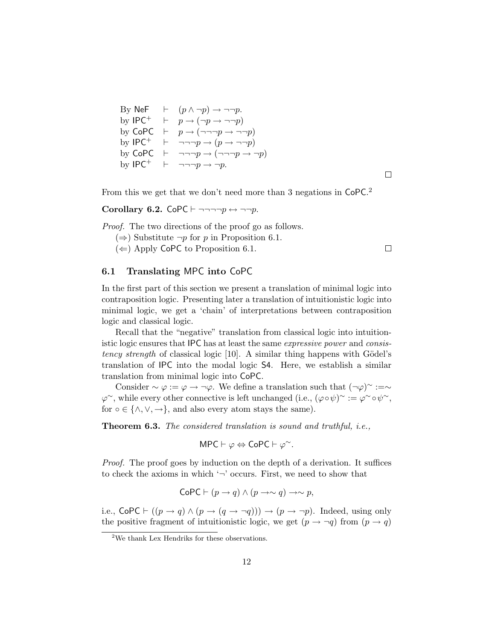By NeF  $\vdash$   $(p \land \neg p) \rightarrow \neg \neg p$ . by IPC<sup>+</sup>  $\vdash$   $p \rightarrow (\neg p \rightarrow \neg \neg p)$ by CoPC  $\vdash p \rightarrow (\neg \neg \neg p \rightarrow \neg \neg p)$ by IPC<sup>+</sup>  $\vdash \neg \neg \neg p \rightarrow (p \rightarrow \neg \neg p)$ by CoPC  $\vdash \neg \neg \neg p \rightarrow (\neg \neg \neg p \rightarrow \neg p)$ by IPC<sup>+</sup>  $\vdash \neg \neg \neg p \rightarrow \neg p$ .

 $\Box$ 

From this we get that we don't need more than 3 negations in CoPC.<sup>2</sup>

Corollary 6.2. CoPC  $\vdash \neg \neg \neg \neg p \leftrightarrow \neg \neg p$ .

Proof. The two directions of the proof go as follows.

(⇒) Substitute  $\neg p$  for p in Proposition 6.1.

 $(\Leftarrow)$  Apply CoPC to Proposition 6.1.

 $\Box$ 

### 6.1 Translating MPC into CoPC

In the first part of this section we present a translation of minimal logic into contraposition logic. Presenting later a translation of intuitionistic logic into minimal logic, we get a 'chain' of interpretations between contraposition logic and classical logic.

Recall that the "negative" translation from classical logic into intuitionistic logic ensures that IPC has at least the same expressive power and consistency strength of classical logic  $[10]$ . A similar thing happens with Gödel's translation of IPC into the modal logic S4. Here, we establish a similar translation from minimal logic into CoPC.

Consider  $\sim \varphi := \varphi \to \neg \varphi$ . We define a translation such that  $(\neg \varphi)^\sim := \sim$  $\varphi^{\sim}$ , while every other connective is left unchanged (i.e.,  $(\varphi \circ \psi)^{\sim} := \varphi^{\sim} \circ \psi^{\sim}$ , for  $\circ \in \{\wedge, \vee, \rightarrow\}$ , and also every atom stays the same).

Theorem 6.3. The considered translation is sound and truthful, i.e.,

$$
\mathsf{MPC} \vdash \varphi \Leftrightarrow \mathsf{CoPC} \vdash \varphi^{\sim}.
$$

Proof. The proof goes by induction on the depth of a derivation. It suffices to check the axioms in which  $\sim$  occurs. First, we need to show that

$$
CoPC \vdash (p \rightarrow q) \land (p \rightarrow \sim q) \rightarrow \sim p,
$$

i.e.,  $\text{CoPC} \vdash ((p \rightarrow q) \land (p \rightarrow (q \rightarrow \neg q))) \rightarrow (p \rightarrow \neg p)$ . Indeed, using only the positive fragment of intuitionistic logic, we get  $(p \to \neg q)$  from  $(p \to q)$ 

<sup>&</sup>lt;sup>2</sup>We thank Lex Hendriks for these observations.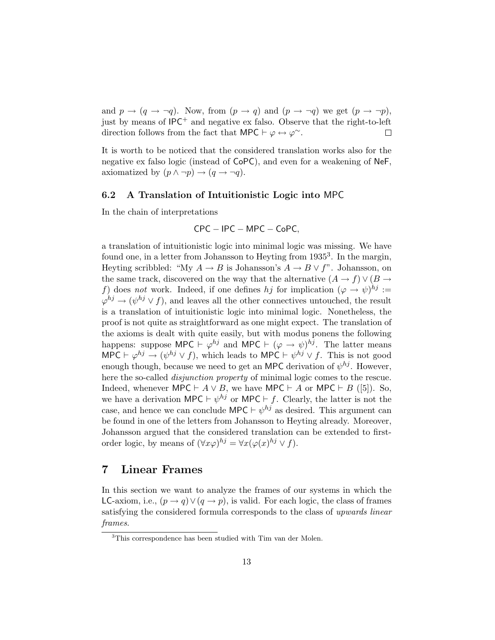and  $p \rightarrow (q \rightarrow \neg q)$ . Now, from  $(p \rightarrow q)$  and  $(p \rightarrow \neg q)$  we get  $(p \rightarrow \neg p)$ , just by means of  $IPC^+$  and negative ex falso. Observe that the right-to-left direction follows from the fact that MPC  $\vdash \varphi \leftrightarrow \varphi^{\sim}$ .  $\Box$ 

It is worth to be noticed that the considered translation works also for the negative ex falso logic (instead of CoPC), and even for a weakening of NeF, axiomatized by  $(p \land \neg p) \rightarrow (q \rightarrow \neg q)$ .

### 6.2 A Translation of Intuitionistic Logic into MPC

In the chain of interpretations

$$
CPC - IPC - MPC - CoPC,
$$

a translation of intuitionistic logic into minimal logic was missing. We have found one, in a letter from Johansson to Heyting from 1935<sup>3</sup>. In the margin, Heyting scribbled: "My  $A \to B$  is Johansson's  $A \to B \vee f$ ". Johansson, on the same track, discovered on the way that the alternative  $(A \to f) \vee (B \to f)$ f) does not work. Indeed, if one defines hj for implication  $(\varphi \to \psi)^{h_j}$ :=  $\varphi^{hj} \to (\psi^{hj} \vee f)$ , and leaves all the other connectives untouched, the result is a translation of intuitionistic logic into minimal logic. Nonetheless, the proof is not quite as straightforward as one might expect. The translation of the axioms is dealt with quite easily, but with modus ponens the following happens: suppose MPC  $\vdash \varphi^{hj}$  and MPC  $\vdash (\varphi \rightarrow \psi)^{hj}$ . The latter means MPC  $\vdash \varphi^{hj} \rightarrow (\psi^{hj} \vee f)$ , which leads to MPC  $\vdash \psi^{hj} \vee f$ . This is not good enough though, because we need to get an MPC derivation of  $\psi^{hj}$ . However, here the so-called *disjunction property* of minimal logic comes to the rescue. Indeed, whenever MPC  $\vdash A \lor B$ , we have MPC  $\vdash A$  or MPC  $\vdash B$  ([5]). So, we have a derivation MPC  $\vdash \psi^{hj}$  or MPC  $\vdash f$ . Clearly, the latter is not the case, and hence we can conclude MPC  $\vdash \psi^{hj}$  as desired. This argument can be found in one of the letters from Johansson to Heyting already. Moreover, Johansson argued that the considered translation can be extended to firstorder logic, by means of  $(\forall x \varphi)^{hj} = \forall x (\varphi(x)^{hj} \vee f)$ .

# 7 Linear Frames

In this section we want to analyze the frames of our systems in which the LC-axiom, i.e.,  $(p \to q) \vee (q \to p)$ , is valid. For each logic, the class of frames satisfying the considered formula corresponds to the class of upwards linear frames.

<sup>3</sup>This correspondence has been studied with Tim van der Molen.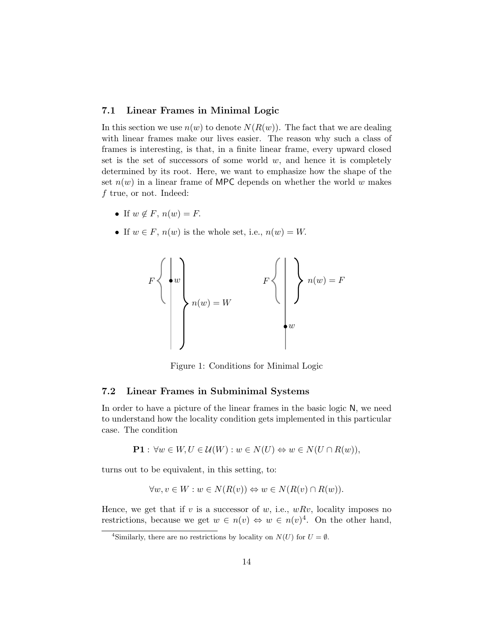### 7.1 Linear Frames in Minimal Logic

In this section we use  $n(w)$  to denote  $N(R(w))$ . The fact that we are dealing with linear frames make our lives easier. The reason why such a class of frames is interesting, is that, in a finite linear frame, every upward closed set is the set of successors of some world  $w$ , and hence it is completely determined by its root. Here, we want to emphasize how the shape of the set  $n(w)$  in a linear frame of MPC depends on whether the world w makes f true, or not. Indeed:

- If  $w \notin F$ ,  $n(w) = F$ .
- If  $w \in F$ ,  $n(w)$  is the whole set, i.e.,  $n(w) = W$ .



Figure 1: Conditions for Minimal Logic

#### 7.2 Linear Frames in Subminimal Systems

In order to have a picture of the linear frames in the basic logic N, we need to understand how the locality condition gets implemented in this particular case. The condition

$$
\mathbf{P1} : \forall w \in W, U \in \mathcal{U}(W) : w \in N(U) \Leftrightarrow w \in N(U \cap R(w)),
$$

turns out to be equivalent, in this setting, to:

$$
\forall w, v \in W : w \in N(R(v)) \Leftrightarrow w \in N(R(v) \cap R(w)).
$$

Hence, we get that if  $v$  is a successor of  $w$ , i.e.,  $wRv$ , locality imposes no restrictions, because we get  $w \in n(v) \Leftrightarrow w \in n(v)^4$ . On the other hand,

<sup>&</sup>lt;sup>4</sup>Similarly, there are no restrictions by locality on  $N(U)$  for  $U = \emptyset$ .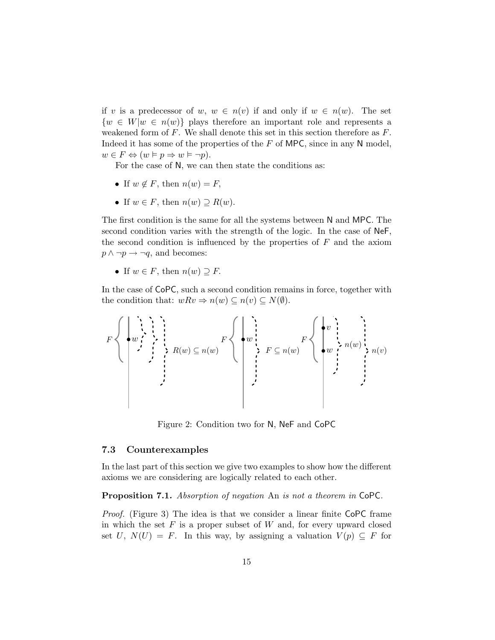if v is a predecessor of w,  $w \in n(v)$  if and only if  $w \in n(w)$ . The set  $\{w \in W | w \in n(w)\}\$  plays therefore an important role and represents a weakened form of  $F$ . We shall denote this set in this section therefore as  $F$ . Indeed it has some of the properties of the  $F$  of MPC, since in any N model,  $w \in F \Leftrightarrow (w \vDash p \Rightarrow w \vDash \neg p).$ 

For the case of N, we can then state the conditions as:

- If  $w \notin F$ , then  $n(w) = F$ ,
- If  $w \in F$ , then  $n(w) \supseteq R(w)$ .

The first condition is the same for all the systems between N and MPC. The second condition varies with the strength of the logic. In the case of NeF, the second condition is influenced by the properties of  $F$  and the axiom  $p \land \neg p \rightarrow \neg q$ , and becomes:

• If  $w \in F$ , then  $n(w) \supseteq F$ .

In the case of CoPC, such a second condition remains in force, together with the condition that:  $wRv \Rightarrow n(w) \subseteq n(v) \subseteq N(\emptyset)$ .

$$
F\left\{\left(w, \left(\begin{array}{c} \cdot & \cdot & \cdot \\ \cdot & \cdot & \cdot & \cdot \\ \cdot & \cdot & \cdot & \cdot & \cdot \\ \cdot & \cdot & \cdot & \cdot & \cdot \\ \cdot & \cdot & \cdot & \cdot & \cdot \\ \cdot & \cdot & \cdot & \cdot & \cdot \\ \cdot & \cdot & \cdot & \cdot & \cdot \end{array}\right| \left(\left(\begin{array}{c} \cdot & \cdot & \cdot & \cdot & \cdot \\ \cdot & \cdot & \cdot & \cdot & \cdot \\ \cdot & \cdot & \cdot & \cdot & \cdot \\ \cdot & \cdot & \cdot & \cdot & \cdot \\ \cdot & \cdot & \cdot & \cdot & \cdot \end{array}\right| \left(\begin{array}{c} \cdot & \cdot & \cdot & \cdot & \cdot \\ \cdot & \cdot & \cdot & \cdot & \cdot \\ \cdot & \cdot & \cdot & \cdot & \cdot \\ \cdot & \cdot & \cdot & \cdot & \cdot \\ \cdot & \cdot & \cdot & \cdot & \cdot \end{array}\right) \right)
$$

Figure 2: Condition two for N, NeF and CoPC

#### 7.3 Counterexamples

In the last part of this section we give two examples to show how the different axioms we are considering are logically related to each other.

Proposition 7.1. Absorption of negation An is not a theorem in CoPC.

Proof. (Figure 3) The idea is that we consider a linear finite CoPC frame in which the set  $F$  is a proper subset of  $W$  and, for every upward closed set U,  $N(U) = F$ . In this way, by assigning a valuation  $V(p) \subseteq F$  for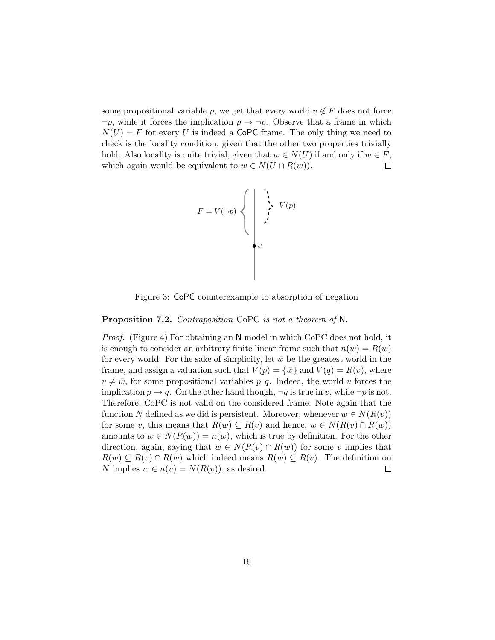some propositional variable p, we get that every world  $v \notin F$  does not force  $\neg p$ , while it forces the implication  $p \to \neg p$ . Observe that a frame in which  $N(U) = F$  for every U is indeed a CoPC frame. The only thing we need to check is the locality condition, given that the other two properties trivially hold. Also locality is quite trivial, given that  $w \in N(U)$  if and only if  $w \in F$ , which again would be equivalent to  $w \in N(U \cap R(w))$ .  $\Box$ 

$$
F = V(\neg p) \n\begin{cases} \n\cdot & \downarrow \quad V(p) \\ \n\cdot & \downarrow \quad V(p) \\ \n\cdot & \downarrow \quad V(p) \quad \downarrow \quad V(p) \quad \downarrow \quad V(p) \quad \downarrow \quad V(p) \quad \downarrow \quad V(p) \quad \downarrow \quad V(p) \quad \downarrow \quad V(p) \quad \downarrow \quad V(p) \quad \downarrow \quad V(p) \quad \downarrow \quad V(p) \quad \downarrow \quad V(p) \quad \downarrow \quad V(p) \quad \downarrow \quad V(p) \quad \downarrow \quad V(p) \quad \downarrow \quad V(p) \quad \downarrow \quad V(p) \quad \downarrow \quad V(p) \quad \downarrow \quad V(p) \quad \downarrow \quad V(p) \quad \downarrow \quad V(p) \quad \downarrow \quad V(p) \quad \downarrow \quad V(p) \quad \downarrow \quad V(p) \quad \downarrow \quad V(p) \quad \downarrow \quad V(p) \quad \downarrow \quad V(p) \quad \downarrow \quad V(p) \quad \downarrow \quad V(p) \quad \downarrow \quad V(p) \quad \downarrow \quad V(p) \quad \downarrow \quad V(p) \quad \downarrow \quad V(p) \quad \downarrow \quad V(p) \quad \downarrow \quad V(p) \quad \downarrow \quad V(p) \quad \downarrow \quad V(p) \quad \downarrow \quad V(p) \quad \downarrow \quad V(p) \quad \downarrow \quad V(p) \quad \downarrow \quad V(p) \quad \downarrow \quad V(p) \quad \downarrow \quad V(p) \quad \downarrow \quad V(p) \quad \downarrow \quad V(p) \quad \downarrow \quad V(p) \quad \downarrow \quad V(p) \quad \downarrow \quad V(p) \quad \downarrow \quad V(p) \quad \downarrow \quad V(p) \quad \downarrow \quad V(p) \quad \downarrow \quad V(p) \quad \downarrow \quad V(p) \quad \downarrow \quad V(p) \quad \downarrow \quad V(p) \quad \downarrow \quad V(p) \quad \downarrow \quad V(p) \quad \downarrow \quad V(p) \quad \downarrow \quad V(p) \quad \downarrow \quad V(p) \quad \downarrow \quad V(p) \quad \downarrow \quad V(p) \quad \downarrow \quad V(p) \quad \downarrow \quad V(p) \quad \downarrow \quad V(p) \quad \downarrow \quad V(p) \quad \downarrow \quad V(p) \quad \downarrow \quad V(p) \quad \downarrow \quad V(p) \quad \downarrow \quad V(p) \quad \downarrow \quad V(p) \quad \downarrow \quad V
$$

Figure 3: CoPC counterexample to absorption of negation

#### Proposition 7.2. Contraposition CoPC is not a theorem of N.

Proof. (Figure 4) For obtaining an N model in which CoPC does not hold, it is enough to consider an arbitrary finite linear frame such that  $n(w) = R(w)$ for every world. For the sake of simplicity, let  $\bar{w}$  be the greatest world in the frame, and assign a valuation such that  $V(p) = \{\bar{w}\}\$ and  $V(q) = R(v)$ , where  $v \neq \bar{w}$ , for some propositional variables p, q. Indeed, the world v forces the implication  $p \to q$ . On the other hand though,  $\neg q$  is true in v, while  $\neg p$  is not. Therefore, CoPC is not valid on the considered frame. Note again that the function N defined as we did is persistent. Moreover, whenever  $w \in N(R(v))$ for some v, this means that  $R(w) \subseteq R(v)$  and hence,  $w \in N(R(v) \cap R(w))$ amounts to  $w \in N(R(w)) = n(w)$ , which is true by definition. For the other direction, again, saying that  $w \in N(R(v) \cap R(w))$  for some v implies that  $R(w) \subseteq R(v) \cap R(w)$  which indeed means  $R(w) \subseteq R(v)$ . The definition on N implies  $w \in n(v) = N(R(v))$ , as desired.  $\Box$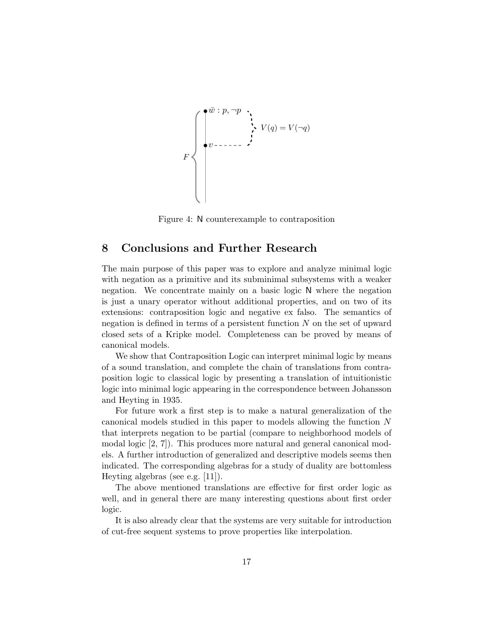$$
F \left\{ \begin{matrix} \overline{w} : p, \neg p \\ \vdots \\ \overline{w} : V(q) = V(\neg q) \\ \vdots \\ \overline{w} : V(q) = V(\neg q) \end{matrix} \right\}
$$

Figure 4: N counterexample to contraposition

# 8 Conclusions and Further Research

The main purpose of this paper was to explore and analyze minimal logic with negation as a primitive and its subminimal subsystems with a weaker negation. We concentrate mainly on a basic logic N where the negation is just a unary operator without additional properties, and on two of its extensions: contraposition logic and negative ex falso. The semantics of negation is defined in terms of a persistent function  $N$  on the set of upward closed sets of a Kripke model. Completeness can be proved by means of canonical models.

We show that Contraposition Logic can interpret minimal logic by means of a sound translation, and complete the chain of translations from contraposition logic to classical logic by presenting a translation of intuitionistic logic into minimal logic appearing in the correspondence between Johansson and Heyting in 1935.

For future work a first step is to make a natural generalization of the canonical models studied in this paper to models allowing the function N that interprets negation to be partial (compare to neighborhood models of modal logic [2, 7]). This produces more natural and general canonical models. A further introduction of generalized and descriptive models seems then indicated. The corresponding algebras for a study of duality are bottomless Heyting algebras (see e.g. [11]).

The above mentioned translations are effective for first order logic as well, and in general there are many interesting questions about first order logic.

It is also already clear that the systems are very suitable for introduction of cut-free sequent systems to prove properties like interpolation.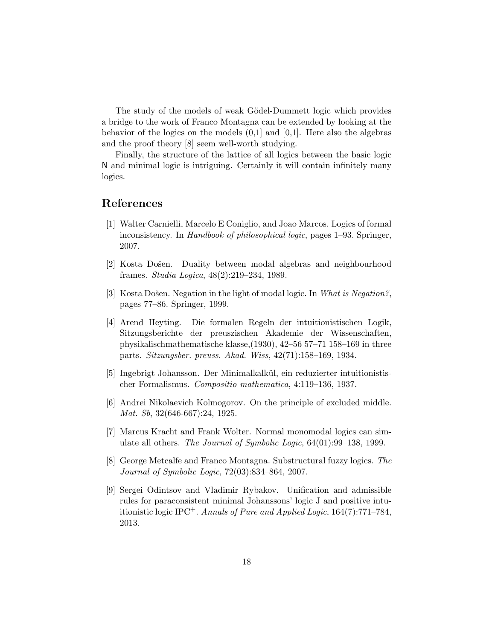The study of the models of weak Gödel-Dummett logic which provides a bridge to the work of Franco Montagna can be extended by looking at the behavior of the logics on the models  $(0,1]$  and  $[0,1]$ . Here also the algebras and the proof theory [8] seem well-worth studying.

Finally, the structure of the lattice of all logics between the basic logic N and minimal logic is intriguing. Certainly it will contain infinitely many logics.

# References

- [1] Walter Carnielli, Marcelo E Coniglio, and Joao Marcos. Logics of formal inconsistency. In Handbook of philosophical logic, pages 1–93. Springer, 2007.
- [2] Kosta Došen. Duality between modal algebras and neighbourhood frames. Studia Logica, 48(2):219–234, 1989.
- [3] Kosta Došen. Negation in the light of modal logic. In What is Negation?, pages 77–86. Springer, 1999.
- [4] Arend Heyting. Die formalen Regeln der intuitionistischen Logik, Sitzungsberichte der preuszischen Akademie der Wissenschaften, physikalischmathematische klasse,(1930), 42–56 57–71 158–169 in three parts. Sitzungsber. preuss. Akad. Wiss, 42(71):158–169, 1934.
- [5] Ingebrigt Johansson. Der Minimalkalk¨ul, ein reduzierter intuitionistischer Formalismus. Compositio mathematica, 4:119–136, 1937.
- [6] Andrei Nikolaevich Kolmogorov. On the principle of excluded middle. Mat. Sb, 32(646-667):24, 1925.
- [7] Marcus Kracht and Frank Wolter. Normal monomodal logics can simulate all others. The Journal of Symbolic Logic, 64(01):99–138, 1999.
- [8] George Metcalfe and Franco Montagna. Substructural fuzzy logics. The Journal of Symbolic Logic, 72(03):834–864, 2007.
- [9] Sergei Odintsov and Vladimir Rybakov. Unification and admissible rules for paraconsistent minimal Johanssons' logic J and positive intuitionistic logic IPC<sup>+</sup>. Annals of Pure and Applied Logic,  $164(7)$ :771–784, 2013.